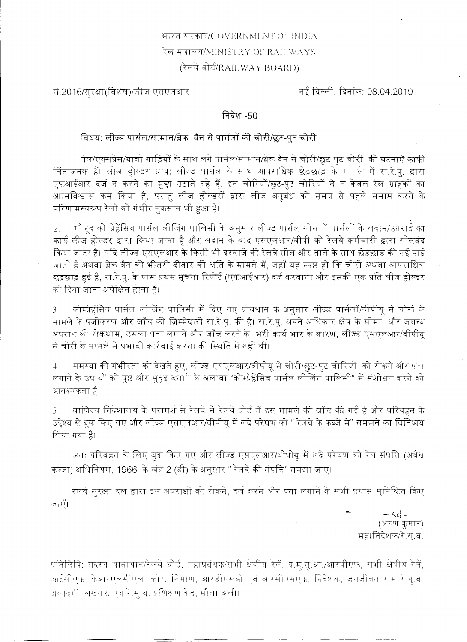भारत सरकार/GOVERNMENT OF INDIA रेल मंत्रालय/MINISTRY OF RAILWAYS (रेलवे बोर्ड/RAILWAY BOARD)

सं 2016/सूरक्षा(विशेष)/लीज एसएलआर

नई दिल्ली, दिनांक: 08.04.2019

निदेश -50

विषय: लीज्ड पार्सल/सामान/ब्रेक वैन से पार्सलों की चोरी/छुट-पुट चोरी |

मेल/एक्सप्रेस/यात्री गाड़ियों के साथ लगे पार्सल/सामान/ब्रेक वैन से चोरी/छुट-पुट चोरी की घटनाएँ काफी

चिंताजनक हैं। लीज होल्डर प्राय: लीज्ड पार्सल के साथ आपराधिक छेड़छाड़ के मामले में रा.रे.पु. द्वारा एफआईआर दर्ज न करने का मुद्दा उठाते रहे हैं. इन चोरियों/छूट-पुट चोरियों ने न केवल रेल ग्राहकों का आत्मविश्वास कम किया है, परन्तु लीज होल्डरों द्वारा लीज अनुबंध को समय से पहले समाप्त करने के परिणामस्वरूप रेलों को गंभीर नुकसान भी हुआ है।

2. मौजूद कोम्प्रेहेंसिव पार्सल लीजिंग पालिसी के अनुसार लीज्ड पार्सल स्पेस में पार्सलों के लदान/उतराई का कार्य लीज होल्डर द्वारा किया जाता है और लदान के बाद एसएलआर/वीपी को रेलवे कर्मचारी द्वारा सीलबंद किया जाता है। यदि लीज्ड एसएलआर के किसी भी दरवाजे की रेलवे सील और ताले के साथ छेड़छाड़ की गई पाई जाती है अथवा ब्रेक वैन की भीतरी दीवार की क्षति के मामले में, जहाँ यह स्पष्ट हो कि चोरी अथवा आपराधिक छेड़छाड़ हुई है, रा.रे.पु. के पास प्रथम सूचना रिपोर्ट (एफआईआर) दर्ज करवाना और इसकी एक प्रति लीज होल्डर को दिया जाना अपेक्षित होता है।

कोम्प्रेहेंसिव पार्सल लीजिंग पालिसी में दिए गए प्रावधान के अनुसार लीज्ड पार्सलों/वीपीयू से चोरी के  $\mathfrak{Z}^-$ मामले के पंजीकरण और जाँच की ज़िम्मेदारी रा.रे.पु. की है। रा.रे.पु. अपने अधिकार क्षेत्र के सीमा और जघन्य अपराध की रोकथाम, उसका पता लगाने और जाँच करने के भरी कार्य भार के कारण, लीज्ड एसएलआर/वीपीयू से चोरी के मामले में प्रभावी कार्रवाई करना की स्थिति में नहीं थी।

समस्या की गंभीरता को देखते हुए, लीज्ड एसएलआर/वीपीयू से चोरी/छूट-पुट चोरियों को रोकने और पता  $4.$ लगाने के उपायों को पुष्ट और सुदृढ़ बनाने के अलावा "कोम्प्रेहैंसिव पार्सल लीजिंग पालिसी" में संशोधन करने की आवश्यकता है।

वाणिज्य निदेशालय के परामर्श से रेलवे से रेलवे बोर्ड में इस मामले की जाँच की गई है और परियहन के  $5 -$ उद्देश्य से बुक किए गए और लीज्ड एसएलआर/वीपीयू में लदे परेषण को " रेलवे के कब्जे में" समझने का विनिश्चय किया गया है।

अतः परिवहन के लिए बुक किए गए और लीज्ड एसएलआर/वीपीयू में लदे परेषण को रेल संपत्ति (अवैध कब्ज़ा) अधिनियम, 1966 के खंड 2 (डी) के अनुसार " रेलवे की संपत्ति" समझा जाए।

रेलवे सुरक्षा बल द्वारा इन अपराधों को रोकने, दर्ज करने और पता लगाने के सभी प्रयास सुनिश्चित किए





प्रतिलिपि: सदस्य यातायात/रेलवे बोर्ड, महाप्रबंधक/सभी क्षेत्रीय रेलें, प्र.मु.सु.आ./आरपीएफ, सभी क्षेत्रीय रेलें, आईसीएफ, केआरएलसीएल, कोर, निर्माण, आरडीएसओ एवं आरसीएसएफ, निदेशक, जनजीवन राम रे.सू.ब. अकादमी, लखनऊ एवं रे.सू.व. प्रशिक्षण केंद्र, मौला-अली।